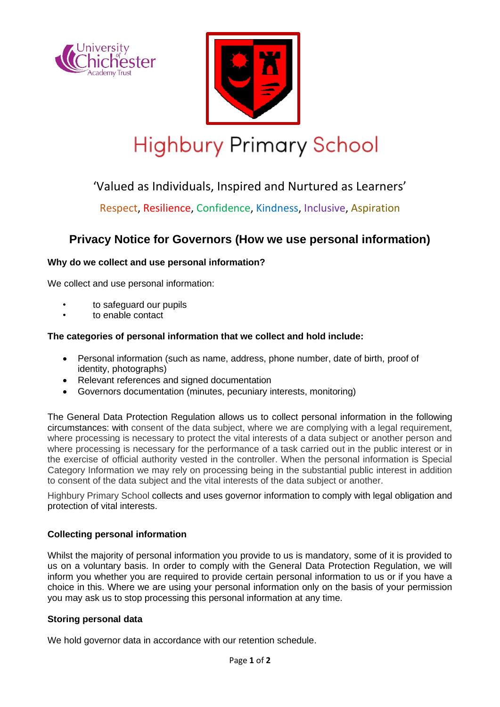



# **Highbury Primary School**

# 'Valued as Individuals, Inspired and Nurtured as Learners'

Respect, Resilience, Confidence, Kindness, Inclusive, Aspiration

# **Privacy Notice for Governors (How we use personal information)**

# **Why do we collect and use personal information?**

We collect and use personal information:

- to safeguard our pupils
- to enable contact

## **The categories of personal information that we collect and hold include:**

- Personal information (such as name, address, phone number, date of birth, proof of identity, photographs)
- Relevant references and signed documentation
- Governors documentation (minutes, pecuniary interests, monitoring)

The General Data Protection Regulation allows us to collect personal information in the following circumstances: with consent of the data subject, where we are complying with a legal requirement, where processing is necessary to protect the vital interests of a data subject or another person and where processing is necessary for the performance of a task carried out in the public interest or in the exercise of official authority vested in the controller. When the personal information is Special Category Information we may rely on processing being in the substantial public interest in addition to consent of the data subject and the vital interests of the data subject or another.

Highbury Primary School collects and uses governor information to comply with legal obligation and protection of vital interests.

## **Collecting personal information**

Whilst the majority of personal information you provide to us is mandatory, some of it is provided to us on a voluntary basis. In order to comply with the General Data Protection Regulation, we will inform you whether you are required to provide certain personal information to us or if you have a choice in this. Where we are using your personal information only on the basis of your permission you may ask us to stop processing this personal information at any time.

### **Storing personal data**

We hold governor data in accordance with our retention schedule.